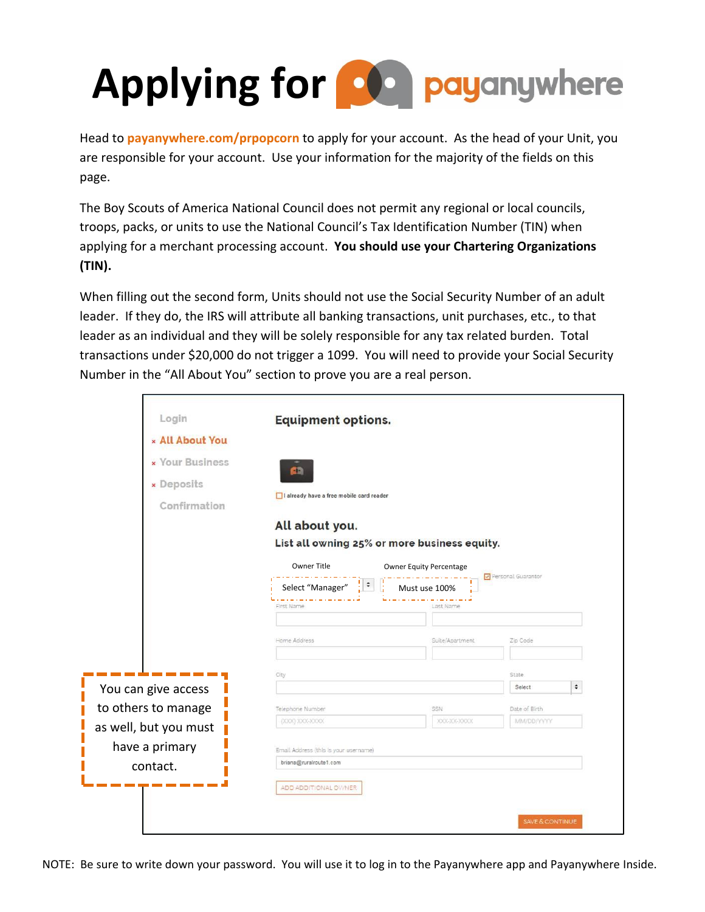## **Applying for compayanywhere**

Head to **payanywhere.com/prpopcorn** to apply for your account. As the head of your Unit, you are responsible for your account. Use your information for the majority of the fields on this page.

The Boy Scouts of America National Council does not permit any regional or local councils, troops, packs, or units to use the National Council's Tax Identification Number (TIN) when applying for a merchant processing account. **You should use your Chartering Organizations (TIN).**

When filling out the second form, Units should not use the Social Security Number of an adult leader. If they do, the IRS will attribute all banking transactions, unit purchases, etc., to that leader as an individual and they will be solely responsible for any tax related burden. Total transactions under \$20,000 do not trigger a 1099. You will need to provide your Social Security Number in the "All About You" section to prove you are a real person.

| Login                  | <b>Equipment options.</b>                    |                         |                    |
|------------------------|----------------------------------------------|-------------------------|--------------------|
| <b>× All About You</b> |                                              |                         |                    |
| <b>× Your Business</b> | ŒĎ                                           |                         |                    |
| » Deposits             |                                              |                         |                    |
| Confirmation           | I already have a free mobile card reader     |                         |                    |
|                        | All about you.                               |                         |                    |
|                        | List all owning 25% or more business equity. |                         |                    |
|                        | Owner Title                                  | Owner Equity Percentage |                    |
|                        | ‼≉.<br>Select "Manager"                      | Must use 100%           | Personal Guarantor |
|                        | First Name                                   | Last Name               |                    |
|                        |                                              |                         |                    |
|                        | Home Address                                 | Suite/Apartment         | Zip Code           |
|                        | City                                         |                         | State              |
| You can give access    |                                              |                         | ۰<br>Select:       |
| to others to manage    | Telephone Number                             | SSN                     | Date of Birth      |
| as well, but you must  | (XXX) XXX-XXXX                               | XXX-XX-XXXX             | MM/DD/YYYY         |
| have a primary         | Email Address (this is your username)        |                         |                    |
| contact.               | briana@ruralroute1.com                       |                         |                    |
|                        |                                              |                         |                    |